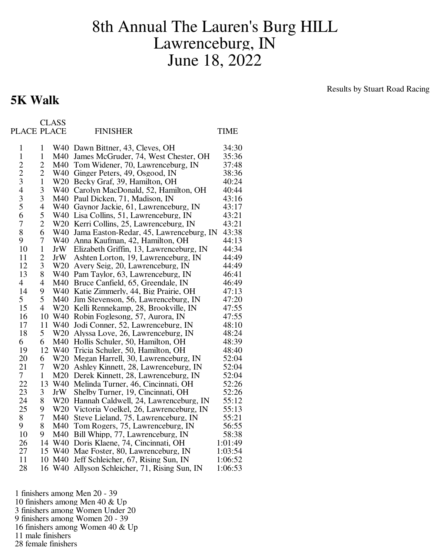## 8th Annual The Lauren's Burg HILL Lawrenceburg, IN June 18, 2022

## Results by Stuart Road Racing

| PLACE PLACE    |                |            | <b>FINISHER</b>                             | <b>TIME</b> |
|----------------|----------------|------------|---------------------------------------------|-------------|
| $\mathbf{1}$   | $\mathbf{1}$   |            | W40 Dawn Bittner, 43, Cleves, OH            | 34:30       |
| $\mathbf{1}$   | $\mathbf{1}$   |            | M40 James McGruder, 74, West Chester, OH    | 35:36       |
|                | $\overline{c}$ |            | M40 Tom Widener, 70, Lawrenceburg, IN       | 37:48       |
| $\frac{2}{3}$  | $\overline{c}$ |            | W40 Ginger Peters, 49, Osgood, IN           | 38:36       |
|                | $\mathbf{1}$   |            | W20 Becky Graf, 39, Hamilton, OH            | 40:24       |
| $\overline{4}$ | 3              |            | W40 Carolyn MacDonald, 52, Hamilton, OH     | 40:44       |
| $rac{3}{5}$    | 3              |            | M40 Paul Dicken, 71, Madison, IN            | 43:16       |
|                | 4              |            | W40 Gaynor Jackie, 61, Lawrenceburg, IN     | 43:17       |
| 6              | 5              |            | W40 Lisa Collins, 51, Lawrenceburg, IN      | 43:21       |
| $\overline{7}$ | $\overline{2}$ |            | W20 Kerri Collins, 25, Lawrenceburg, IN     | 43:21       |
| 8              | 6              |            | W40 Jama Easton-Redar, 45, Lawrenceburg, IN | 43:38       |
| 9              | $\overline{7}$ |            | W40 Anna Kaufman, 42, Hamilton, OH          | 44:13       |
| 10             | $\mathbf{1}$   | JrW        | Elizabeth Griffin, 13, Lawrenceburg, IN     | 44:34       |
| 11             | $\overline{c}$ | JrW        | Ashten Lorton, 19, Lawrenceburg, IN         | 44:49       |
| 12             | 3              |            | W20 Avery Seig, 20, Lawrenceburg, IN        | 44:49       |
| 13             | 8              |            | W40 Pam Taylor, 63, Lawrenceburg, IN        | 46:41       |
| $\overline{4}$ | $\overline{4}$ |            | M40 Bruce Canfield, 65, Greendale, IN       | 46:49       |
| 14             | 9              |            | W40 Katie Zimmerly, 44, Big Prairie, OH     | 47:13       |
| 5              | 5              | M40        | Jim Stevenson, 56, Lawrenceburg, IN         | 47:20       |
| 15             | $\overline{4}$ |            | W20 Kelli Rennekamp, 28, Brookville, IN     | 47:55       |
| 16             | 10             |            | W40 Robin Foglesong, 57, Aurora, IN         | 47:55       |
| 17             | 11             | W40        | Jodi Conner, 52, Lawrenceburg, IN           | 48:10       |
| 18             | 5              |            | W20 Alyssa Love, 26, Lawrenceburg, IN       | 48:24       |
| 6              | 6              |            | M40 Hollis Schuler, 50, Hamilton, OH        | 48:39       |
| 19             | 12             |            | W40 Tricia Schuler, 50, Hamilton, OH        | 48:40       |
| 20             | 6              |            | W20 Megan Harrell, 30, Lawrenceburg, IN     | 52:04       |
| 21             | 7              |            | W20 Ashley Kinnett, 28, Lawrenceburg, IN    | 52:04       |
| $\overline{7}$ | 1              |            | M20 Derek Kinnett, 28, Lawrenceburg, IN     | 52:04       |
| 22             | 13             |            | W40 Melinda Turner, 46, Cincinnati, OH      | 52:26       |
| 23             | 3              | <b>JrW</b> | Shelby Turner, 19, Cincinnati, OH           | 52:26       |
| 24             | 8              |            | W20 Hannah Caldwell, 24, Lawrenceburg, IN   | 55:12       |
| 25             | 9              |            | W20 Victoria Voelkel, 26, Lawrenceburg, IN  | 55:13       |
| 8              | 7              |            | M40 Steve Lieland, 75, Lawrenceburg, IN     | 55:21       |
| 9              | 8              |            | M40 Tom Rogers, 75, Lawrenceburg, IN        | 56:55       |
| 10             | 9              |            | M40 Bill Whipp, 77, Lawrenceburg, IN        | 58:38       |
| 26             | 14             |            | W40 Doris Klaene, 74, Cincinnati, OH        | 1:01:49     |
| 27             |                |            | 15 W40 Mae Foster, 80, Lawrenceburg, IN     | 1:03:54     |
| 11             | 10             | M40        | Jeff Schleicher, 67, Rising Sun, IN         | 1:06:52     |
| 28             | 16             | W40        | Allyson Schleicher, 71, Rising Sun, IN      | 1:06:53     |

1 finishers among Men 20 - 39

- 10 finishers among Men 40 & Up
- 3 finishers among Women Under 20
- 9 finishers among Women 20 39
- 16 finishers among Women 40 & Up
- 11 male finishers

**5K Walk**

CLASS

28 female finishers